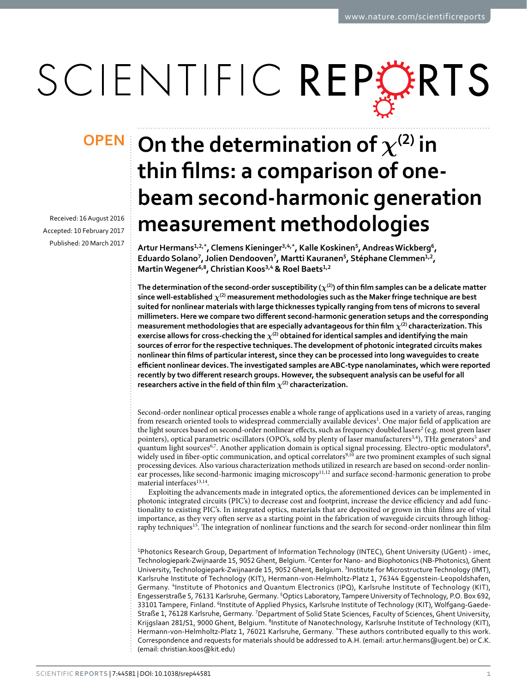# SCIENTIFIC REPERTS

Received: 16 August 2016 accepted: 10 February 2017 Published: 20 March 2017

## $\mathsf{OPEN}$  On the determination of  $\chi^{(2)}$  in **thin films: a comparison of onebeam second-harmonic generation measurement methodologies**

**Artur Hermans1,2,\*, Clemens Kieninger3,4,\*, Kalle Koskinen5, AndreasWickberg6, Eduardo Solano7, Jolien Dendooven<sup>7</sup>, Martti Kauranen5, StéphaneClemmen1,<sup>2</sup>, MartinWegener<sup>6</sup>,8, Christian Koos3,4 & Roel Baets1,<sup>2</sup>**

The determination of the second-order susceptibility ( $\chi^{(2)}$ ) of thin film samples can be a delicate matter **since well-established** *χ***(2) measurement methodologies such as the Maker fringe technique are best suited for nonlinear materials with large thicknesses typically ranging from tens of microns to several millimeters. Here we compare two different second-harmonic generation setups and the corresponding measurement methodologies that are especially advantageous for thin film** *χ***(2) characterization. This exercise allows for cross-checking the** *χ***(2) obtained for identical samples and identifying the main sources of error for the respective techniques. The development of photonic integrated circuits makes nonlinear thin films of particular interest, since they can be processed into long waveguides to create efficient nonlinear devices. The investigated samples are ABC-type nanolaminates, which were reported recently by two different research groups. However, the subsequent analysis can be useful for all researchers active in the field of thin film** *χ***(2) characterization.**

Second-order nonlinear optical processes enable a whole range of applications used in a variety of areas, ranging from research oriented tools to widespread commercially available devices<sup>1</sup>. One major field of application are the light sources based on second-order nonlinear effects, such as frequency doubled lasers<sup>2</sup> (e.g. most green laser pointers), optical parametric oscillators (OPO's, sold by plenty of laser manufacturers<sup>3[,4](#page-10-3)</sup>), THz generators<sup>5</sup> and quantum light sources<sup>6,[7](#page-10-6)</sup>. Another application domain is optical signal processing. Electro-optic modulators<sup>[8](#page-10-7)</sup>, widely used in fiber-optic communication, and optical correlators<sup>9,[10](#page-11-0)</sup> are two prominent examples of such signal processing devices. Also various characterization methods utilized in research are based on second-order nonlin-ear processes, like second-harmonic imaging microscopy<sup>[11](#page-11-1),[12](#page-11-2)</sup> and surface second-harmonic generation to probe material interfaces  $\real^{13,14}.$  $\real^{13,14}.$  $\real^{13,14}.$  $\real^{13,14}.$  $\real^{13,14}.$ 

Exploiting the advancements made in integrated optics, the aforementioned devices can be implemented in photonic integrated circuits (PIC's) to decrease cost and footprint, increase the device efficiency and add functionality to existing PIC's. In integrated optics, materials that are deposited or grown in thin films are of vital importance, as they very often serve as a starting point in the fabrication of waveguide circuits through lithog-raphy techniques<sup>[15](#page-11-5)</sup>. The integration of nonlinear functions and the search for second-order nonlinear thin film

<sup>1</sup>Photonics Research Group, Department of Information Technology (INTEC), Ghent University (UGent) - imec, Technologiepark-Zwijnaarde 15, 9052 Ghent, Belgium. <sup>2</sup>Center for Nano- and Biophotonics (NB-Photonics), Ghent University, Technologiepark-Zwijnaarde 15, 9052 Ghent, Belgium. <sup>3</sup>Institute for Microstructure Technology (IMT), Karlsruhe Institute of Technology (KIT), Hermann-von-Helmholtz-Platz 1, 76344 Eggenstein-Leopoldshafen, Germany. 4Institute of Photonics and Quantum Electronics (IPQ), Karlsruhe Institute of Technology (KIT), Engesserstraße 5, 76131 Karlsruhe, Germany. <sup>5</sup>Optics Laboratory, Tampere University of Technology, P.O. Box 692, 33101 Tampere, Finland. <sup>6</sup>Institute of Applied Physics, Karlsruhe Institute of Technology (KIT), Wolfgang-Gaede-Straße 1, 76128 Karlsruhe, Germany. <sup>7</sup>Department of Solid State Sciences, Faculty of Sciences, Ghent University, Krijgslaan 281/S1, 9000 Ghent, Belgium. <sup>8</sup>Institute of Nanotechnology, Karlsruhe Institute of Technology (KIT), Hermann-von-Helmholtz-Platz 1, 76021 Karlsruhe, Germany. \*These authors contributed equally to this work. Correspondence and requests for materials should be addressed to A.H. (email: [artur.hermans@ugent.be\)](mailto:artur.hermans@ugent.be) or C.K. (email: [christian.koos@kit.edu](mailto:christian.koos@kit.edu))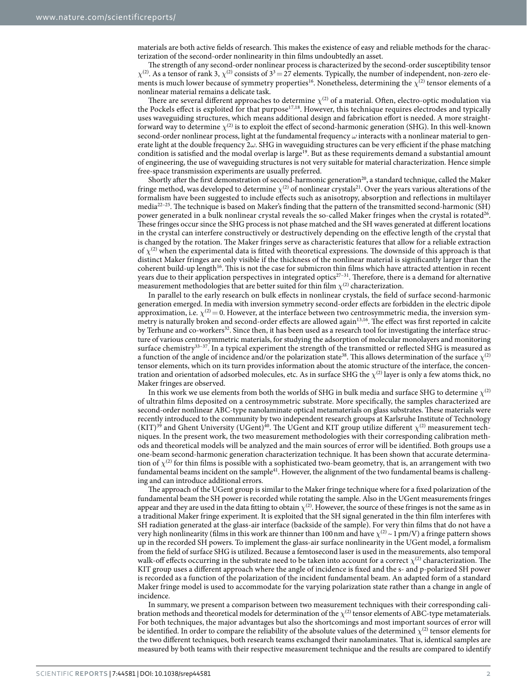materials are both active fields of research. This makes the existence of easy and reliable methods for the characterization of the second-order nonlinearity in thin films undoubtedly an asset.

The strength of any second-order nonlinear process is characterized by the second-order susceptibility tensor  $\chi^{(2)}$ . As a tensor of rank 3,  $\chi^{(2)}$  consists of  $3^3 = 27$  elements. Typically, the number of independent, non-zero ele-ments is much lower because of symmetry properties<sup>[16](#page-11-6)</sup>. Nonetheless, determining the  $\chi^{(2)}$  tensor elements of a nonlinear material remains a delicate task.

There are several different approaches to determine *χ*(2) of a material. Often, electro-optic modulation via the Pockels effect is exploited for that purpose<sup>[17](#page-11-7)[,18](#page-11-8)</sup>. However, this technique requires electrodes and typically uses waveguiding structures, which means additional design and fabrication effort is needed. A more straightforward way to determine  $\chi^{(2)}$  is to exploit the effect of second-harmonic generation (SHG). In this well-known second-order nonlinear process, light at the fundamental frequency *ω* interacts with a nonlinear material to generate light at the double frequency 2*ω*. SHG in waveguiding structures can be very efficient if the phase matching condition is satisfied and the modal overlap is large<sup>[19](#page-11-9)</sup>. But as these requirements demand a substantial amount of engineering, the use of waveguiding structures is not very suitable for material characterization. Hence simple free-space transmission experiments are usually preferred.

Shortly after the first demonstration of second-harmonic generation<sup>20</sup>, a standard technique, called the Maker fringe method, was developed to determine  $\chi^{(2)}$  of nonlinear crystals<sup>21</sup>. Over the years various alterations of the formalism have been suggested to include effects such as anisotropy, absorption and reflections in multilayer media[22–25](#page-11-12). The technique is based on Maker's finding that the pattern of the transmitted second-harmonic (SH) power generated in a bulk nonlinear crystal reveals the so-called Maker fringes when the crystal is rotated<sup>26</sup>. These fringes occur since the SHG process is not phase matched and the SH waves generated at different locations in the crystal can interfere constructively or destructively depending on the effective length of the crystal that is changed by the rotation. The Maker fringes serve as characteristic features that allow for a reliable extraction of  $\chi^{(2)}$  when the experimental data is fitted with theoretical expressions. The downside of this approach is that distinct Maker fringes are only visible if the thickness of the nonlinear material is significantly larger than the coherent build-up length<sup>16</sup>. This is not the case for submicron thin films which have attracted attention in recent years due to their application perspectives in integrated optics<sup>27-31</sup>. Therefore, there is a demand for alternative measurement methodologies that are better suited for thin film  $\chi^{(2)}$  characterization.

In parallel to the early research on bulk effects in nonlinear crystals, the field of surface second-harmonic generation emerged. In media with inversion symmetry second-order effects are forbidden in the electric dipole approximation, i.e.  $\chi^{(2)}=0$ . However, at the interface between two centrosymmetric media, the inversion symmetry is naturally broken and second-order effects are allowed agai[n13,](#page-11-3)[16.](#page-11-6) The effect was first reported in calcite by Terhune and co-workers<sup>[32](#page-11-15)</sup>. Since then, it has been used as a research tool for investigating the interface structure of various centrosymmetric materials, for studying the adsorption of molecular monolayers and monitoring surface chemistry<sup>33–37</sup>. In a typical experiment the strength of the transmitted or reflected SHG is measured as a function of the angle of incidence and/or the polarization stat[e38.](#page-11-17) This allows determination of the surface *χ*(2) tensor elements, which on its turn provides information about the atomic structure of the interface, the concentration and orientation of adsorbed molecules, etc. As in surface SHG the  $\chi^{(2)}$  layer is only a few atoms thick, no Maker fringes are observed.

In this work we use elements from both the worlds of SHG in bulk media and surface SHG to determine  $\chi^{(2)}$ of ultrathin films deposited on a centrosymmetric substrate. More specifically, the samples characterized are second-order nonlinear ABC-type nanolaminate optical metamaterials on glass substrates. These materials were recently introduced to the community by two independent research groups at Karlsruhe Institute of Technology  $(KIT)^{39}$  and Ghent University (UGent)<sup>[40](#page-11-19)</sup>. The UGent and KIT group utilize different  $\chi^{(2)}$  measurement techniques. In the present work, the two measurement methodologies with their corresponding calibration methods and theoretical models will be analyzed and the main sources of error will be identified. Both groups use a one-beam second-harmonic generation characterization technique. It has been shown that accurate determination of  $\chi^{(2)}$  for thin films is possible with a sophisticated two-beam geometry, that is, an arrangement with two fundamental beams incident on the sample<sup>[41](#page-11-20)</sup>. However, the alignment of the two fundamental beams is challenging and can introduce additional errors.

The approach of the UGent group is similar to the Maker fringe technique where for a fixed polarization of the fundamental beam the SH power is recorded while rotating the sample. Also in the UGent measurements fringes appear and they are used in the data fitting to obtain  $\chi^{(2)}$ . However, the source of these fringes is not the same as in a traditional Maker fringe experiment. It is exploited that the SH signal generated in the thin film interferes with SH radiation generated at the glass-air interface (backside of the sample). For very thin films that do not have a very high nonlinearity (films in this work are thinner than 100 nm and have  $\chi^{(2)} \sim 1$  pm/V) a fringe pattern shows up in the recorded SH powers. To implement the glass-air surface nonlinearity in the UGent model, a formalism from the field of surface SHG is utilized. Because a femtosecond laser is used in the measurements, also temporal walk-off effects occurring in the substrate need to be taken into account for a correct  $\chi^{(2)}$  characterization. The KIT group uses a different approach where the angle of incidence is fixed and the s- and p-polarized SH power is recorded as a function of the polarization of the incident fundamental beam. An adapted form of a standard Maker fringe model is used to accommodate for the varying polarization state rather than a change in angle of incidence.

In summary, we present a comparison between two measurement techniques with their corresponding calibration methods and theoretical models for determination of the  $\chi^{(2)}$  tensor elements of ABC-type metamaterials. For both techniques, the major advantages but also the shortcomings and most important sources of error will be identified. In order to compare the reliability of the absolute values of the determined  $\chi^{(2)}$  tensor elements for the two different techniques, both research teams exchanged their nanolaminates. That is, identical samples are measured by both teams with their respective measurement technique and the results are compared to identify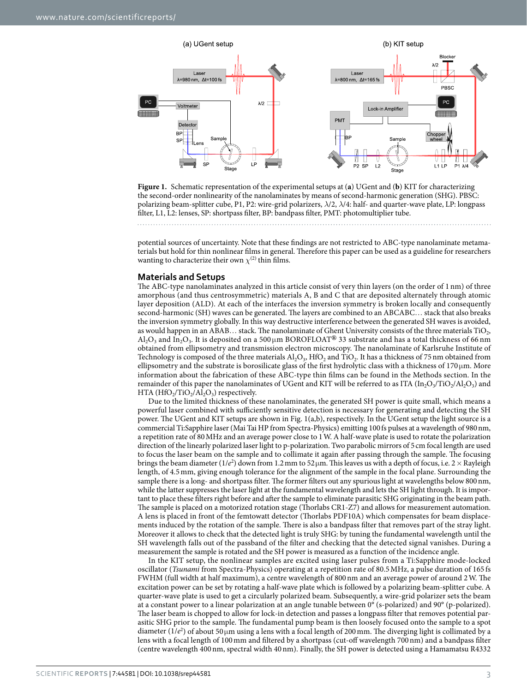

<span id="page-2-0"></span>**Figure 1.** Schematic representation of the experimental setups at (**a**) UGent and (**b**) KIT for characterizing the second-order nonlinearity of the nanolaminates by means of second-harmonic generation (SHG). PBSC: polarizing beam-splitter cube, P1, P2: wire-grid polarizers, *λ*/2, *λ*/4: half- and quarter-wave plate, LP: longpass filter, L1, L2: lenses, SP: shortpass filter, BP: bandpass filter, PMT: photomultiplier tube.

potential sources of uncertainty. Note that these findings are not restricted to ABC-type nanolaminate metamaterials but hold for thin nonlinear films in general. Therefore this paper can be used as a guideline for researchers wanting to characterize their own  $\chi^{(2)}$  thin films.

#### **Materials and Setups**

The ABC-type nanolaminates analyzed in this article consist of very thin layers (on the order of 1 nm) of three amorphous (and thus centrosymmetric) materials A, B and C that are deposited alternately through atomic layer deposition (ALD). At each of the interfaces the inversion symmetry is broken locally and consequently second-harmonic (SH) waves can be generated. The layers are combined to an ABCABC… stack that also breaks the inversion symmetry globally. In this way destructive interference between the generated SH waves is avoided, as would happen in an ABAB... stack. The nanolaminate of Ghent University consists of the three materials TiO<sub>2</sub>, Al2O3 and In2O3. It is deposited on a 500 μm BOROFLOAT**®** 33 substrate and has a total thickness of 66 nm obtained from ellipsometry and transmission electron microscopy. The nanolaminate of Karlsruhe Institute of Technology is composed of the three materials  $AI_2O_3$ , HfO<sub>2</sub> and TiO<sub>2</sub>. It has a thickness of 75 nm obtained from ellipsometry and the substrate is borosilicate glass of the first hydrolytic class with a thickness of 170  $\mu$ m. More information about the fabrication of these ABC-type thin films can be found in the Methods section. In the remainder of this paper the nanolaminates of UGent and KIT will be referred to as ITA  $(In_2O_3/TiO_2/Al_2O_3)$  and HTA  $(HfO_2/TiO_2/Al_2O_3)$  respectively.

Due to the limited thickness of these nanolaminates, the generated SH power is quite small, which means a powerful laser combined with sufficiently sensitive detection is necessary for generating and detecting the SH power. The UGent and KIT setups are shown in [Fig. 1\(a,b\),](#page-2-0) respectively. In the UGent setup the light source is a commercial Ti:Sapphire laser (Mai Tai HP from Spectra-Physics) emitting 100 fs pulses at a wavelength of 980nm, a repetition rate of 80MHz and an average power close to 1W. A half-wave plate is used to rotate the polarization direction of the linearly polarized laser light to p-polarization. Two parabolic mirrors of 5cm focal length are used to focus the laser beam on the sample and to collimate it again after passing through the sample. The focusing brings the beam diameter (1/*e*<sup>2</sup> ) down from 1.2mm to 52μm. This leaves us with a depth of focus, i.e. 2× Rayleigh length, of 4.5mm, giving enough tolerance for the alignment of the sample in the focal plane. Surrounding the sample there is a long- and shortpass filter. The former filters out any spurious light at wavelengths below 800 nm, while the latter suppresses the laser light at the fundamental wavelength and lets the SH light through. It is important to place these filters right before and after the sample to eliminate parasitic SHG originating in the beam path. The sample is placed on a motorized rotation stage (Thorlabs CR1-Z7) and allows for measurement automation. A lens is placed in front of the femtowatt detector (Thorlabs PDF10A) which compensates for beam displacements induced by the rotation of the sample. There is also a bandpass filter that removes part of the stray light. Moreover it allows to check that the detected light is truly SHG: by tuning the fundamental wavelength until the SH wavelength falls out of the passband of the filter and checking that the detected signal vanishes. During a measurement the sample is rotated and the SH power is measured as a function of the incidence angle.

In the KIT setup, the nonlinear samples are excited using laser pulses from a Ti:Sapphire mode-locked oscillator (*Tsunami* from Spectra-Physics) operating at a repetition rate of 80.5MHz, a pulse duration of 165 fs FWHM (full width at half maximum), a centre wavelength of 800nm and an average power of around 2W. The excitation power can be set by rotating a half-wave plate which is followed by a polarizing beam-splitter cube. A quarter-wave plate is used to get a circularly polarized beam. Subsequently, a wire-grid polarizer sets the beam at a constant power to a linear polarization at an angle tunable between 0° (s-polarized) and 90° (p-polarized). The laser beam is chopped to allow for lock-in detection and passes a longpass filter that removes potential parasitic SHG prior to the sample. The fundamental pump beam is then loosely focused onto the sample to a spot diameter (1/*e*<sup>2</sup> ) of about 50 μm using a lens with a focal length of 200mm. The diverging light is collimated by a lens with a focal length of 100mm and filtered by a shortpass (cut-off wavelength 700nm) and a bandpass filter (centre wavelength 400nm, spectral width 40nm). Finally, the SH power is detected using a Hamamatsu R4332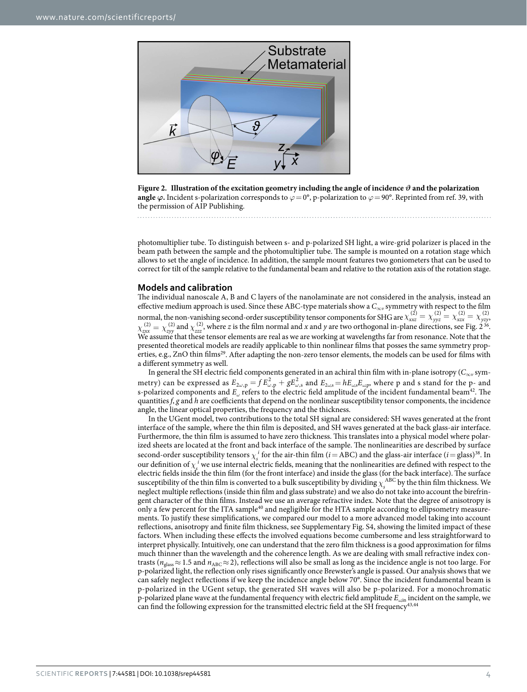

<span id="page-3-0"></span>

photomultiplier tube. To distinguish between s- and p-polarized SH light, a wire-grid polarizer is placed in the beam path between the sample and the photomultiplier tube. The sample is mounted on a rotation stage which allows to set the angle of incidence. In addition, the sample mount features two goniometers that can be used to correct for tilt of the sample relative to the fundamental beam and relative to the rotation axis of the rotation stage.

#### **Models and calibration**

The individual nanoscale A, B and C layers of the nanolaminate are not considered in the analysis, instead an effective medium approach is used. Since these ABC-type materials show a  $C_{\infty v}$  symmetry with respect to the film normal, the non-vanishing second-order susceptibility tensor components for SHG are  $\chi_{xxz}^{(2)} = \chi_{yyz}^{(2)} = \chi_{xzx}^{(2)} = \chi_{yzy}^{(2)}$ ,  $\chi_{zxx}^{(2)} = \chi_{zyy}^{(2)}$  and  $\chi_{zzz}^{(2)}$ , where *z* is the film normal and *x* and *y* are two orthogonal in-plane directions, see [Fig. 2](#page-3-0)<sup>36</sup>. We assume that these tensor elements are real as we are working at wavelengths far from resonance. Note that the presented theoretical models are readily applicable to thin nonlinear films that posses the same symmetry properties, e.g., ZnO thin films<sup>29</sup>. After adapting the non-zero tensor elements, the models can be used for films with a different symmetry as well.

In general the SH electric field components generated in an achiral thin film with in-plane isotropy (*C*∞*v* symmetry) can be expressed as  $E_{2\omega,\text{p}} = f E_{\omega,\text{p}}^2 + g E_{\omega,\text{s}}^2$  and  $E_{2\omega,\text{s}} = h E_{\omega,\text{s}} E_{\omega,\text{p}}$ , where p and s stand for the p- and s-polarized components and  $E_\omega$  refers to the electric field amplitude of the incident fundamental beam<sup>42</sup>. The quantities  $f$ ,  $g$  and  $h$  are coefficients that depend on the nonlinear susceptibility tensor components, the incidence angle, the linear optical properties, the frequency and the thickness.

In the UGent model, two contributions to the total SH signal are considered: SH waves generated at the front interface of the sample, where the thin film is deposited, and SH waves generated at the back glass-air interface. Furthermore, the thin film is assumed to have zero thickness. This translates into a physical model where polarized sheets are located at the front and back interface of the sample. The nonlinearities are described by surface second-order susceptibility tensors  $\chi_s^i$  for the air-thin film (*i* = ABC) and the glass-air interface (*i* = glass)<sup>38</sup>. In our definition of  $\chi^i$  we use internal electric fields, meaning that the nonlinearities are defined with respect to the electric fields inside the thin film (for the front interface) and inside the glass (for the back interface). The surface susceptibility of the thin film is converted to a bulk susceptibility by dividing  $\chi_s^{\text{ABC}}$  by the thin film thickness. We neglect multiple reflections (inside thin film and glass substrate) and we also do not take into account the birefringent character of the thin films. Instead we use an average refractive index. Note that the degree of anisotropy is only a few percent for the ITA sample<sup>[40](#page-11-19)</sup> and negligible for the HTA sample according to ellipsometry measurements. To justify these simplifications, we compared our model to a more advanced model taking into account reflections, anisotropy and finite film thickness, see Supplementary Fig. S4, showing the limited impact of these factors. When including these effects the involved equations become cumbersome and less straightforward to interpret physically. Intuitively, one can understand that the zero film thickness is a good approximation for films much thinner than the wavelength and the coherence length. As we are dealing with small refractive index contrasts ( $n_{\text{glass}} \approx 1.5$  and  $n_{\text{ABC}} \approx 2$ ), reflections will also be small as long as the incidence angle is not too large. For p-polarized light, the reflection only rises significantly once Brewster's angle is passed. Our analysis shows that we can safely neglect reflections if we keep the incidence angle below 70°. Since the incident fundamental beam is p-polarized in the UGent setup, the generated SH waves will also be p-polarized. For a monochromatic p-polarized plane wave at the fundamental frequency with electric field amplitude *Eω*,in incident on the sample, we can find the following expression for the transmitted electric field at the SH frequency<sup>43[,44](#page-11-25)</sup>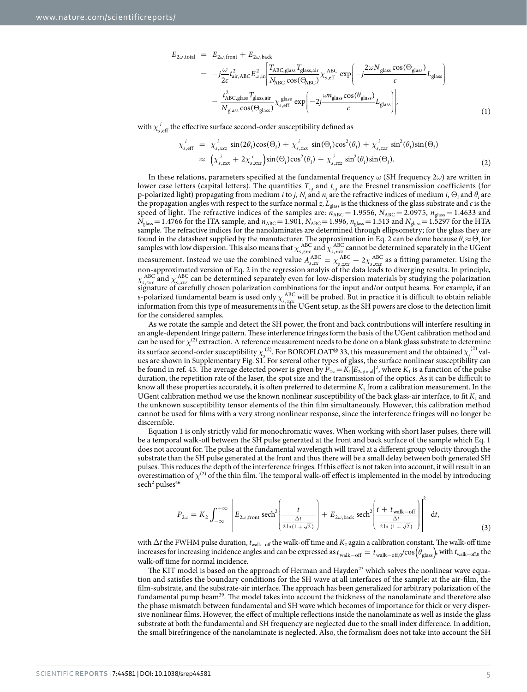$$
E_{2\omega, \text{total}} = E_{2\omega, \text{front}} + E_{2\omega, \text{back}} \left[ T_{ABC, \text{glass}} T_{\text{glass,air}} T_{\text{glass}} + \frac{1}{2} \sum_{\omega} \frac{1}{c} L_{\text{glass}} \right]
$$
  
\n
$$
= -j \frac{\omega}{2c} t_{\text{air,ABC}}^2 E_{\omega, \text{in}}^2 \left[ \frac{T_{ABC, \text{glass}} T_{\text{glass,air}}}{N_{ABC} \cos(\Theta_{ABC})} \chi_{s, \text{eff}}^A \exp\left(-j \frac{2\omega N_{\text{glass}} \cos(\Theta_{\text{glass}})}{c} L_{\text{glass}}\right) - \frac{t_{ABC, \text{glass}}^2 T_{\text{glass,air}}}{N_{\text{glass}} \cos(\Theta_{\text{glass}})} \chi_{s, \text{eff}}^B \exp\left(-2j \frac{\omega n_{\text{glass}} \cos(\theta_{\text{glass}})}{c} L_{\text{glass}}\right) \right],
$$
\n(1)

with  $\chi^i_{s, \rm eff}$  the effective surface second-order susceptibility defined as

$$
\chi_{s, \text{eff}}^i = \chi_{s, \text{xxx}}^i \sin(2\theta_i) \cos(\Theta_i) + \chi_{s, \text{xxx}}^i \sin(\Theta_i) \cos^2(\theta_i) + \chi_{s, \text{zzz}}^i \sin^2(\theta_i) \sin(\Theta_i) \n\approx \left( \chi_{s, \text{xxx}}^i + 2\chi_{s, \text{xxx}}^i \right) \sin(\Theta_i) \cos^2(\theta_i) + \chi_{s, \text{zzz}}^i \sin^2(\theta_i) \sin(\Theta_i).
$$
\n(2)

In these relations, parameters specified at the fundamental frequency *ω* (SH frequency 2*ω*) are written in lower case letters (capital letters). The quantities  $T_{i,j}$  and  $t_{i,j}$  are the Fresnel transmission coefficients (for p-polarized light) propagating from medium *i* to *j*,  $N_i$  and  $n_i$  are the refractive indices of medium *i*,  $\Theta_i$  and  $\theta_i$  are the propagation angles with respect to the surface normal *z*, *L*glass is the thickness of the glass substrate and *c* is the speed of light. The refractive indices of the samples are:  $n_{ABC} = 1.9556$ ,  $N_{ABC} = 2.0975$ ,  $n_{glass} = 1.4633$  and  $N_{\text{glass}} = 1.4766$  for the ITA sample, and  $n_{\text{ABC}} = 1.901$ ,  $N_{\text{ABC}} = 1.996$ ,  $n_{\text{glass}} = 1.513$  and  $N_{\text{glass}} = 1.5297$  for the HTA sample. The refractive indices for the nanolaminates are determined through ellipsometry; for the glass they are found in the datasheet supplied by the manufacturer. The approximation in Eq. 2 can be done because  $\theta_i \approx \Theta_i$  for samples with low dispersion. This also means that  $\chi_{s,xxx}^{ABC}$  and  $\chi_{s,xxx}^{ABC}$  cannot be determined separately in the UGent measurement. Instead we use the combined value  $A_{s,zx}^{ABC} = \chi_{s,zxx}^{ABC} + 2\chi_{s,xyz}^{ABC}$  as a fitting parameter. Using the non-approximated version of Eq. 2 in the regression analyis of the data leads to diverging results. In principle,  $\chi_{s, zxx}^{ABC}$  and  $\chi_{s, xxz}^{ABC}$  can be determined separately even for low-dispersion materials by studying the polarization signature of carefully chosen polarization combinations for the input and/or output beams. For example, if an s-polarized fundamental beam is used only  $\chi_{s, z_1 x_1}^{ABC}$  will be probed. But in practice it is difficult to obtain reliable information from this type of measurements in the UGent setup, as the SH powers are close to the detection limit for the considered samples.

As we rotate the sample and detect the SH power, the front and back contributions will interfere resulting in an angle-dependent fringe pattern. These interference fringes form the basis of the UGent calibration method and can be used for  $\chi^{(2)}$  extraction. A reference measurement needs to be done on a blank glass substrate to determine its surface second-order susceptibility  $\chi_s^{(2)}$ . For BOROFLOAT<sup>®</sup> 33, this measurement and the obtained  $\chi_s^{(2)}$  values are shown in Supplementary Fig. S1. For several other types of glass, the surface nonlinear susceptibility can be found in ref. [45.](#page-11-26) The average detected power is given by  $P_{2\omega} = K_1 |E_{2\omega,\text{total}}|^2$ , where  $K_1$  is a function of the pulse duration, the repetition rate of the laser, the spot size and the transmission of the optics. As it can be difficult to know all these properties accurately, it is often preferred to determine  $K_1$  from a calibration measurement. In the UGent calibration method we use the known nonlinear susceptibility of the back glass-air interface, to fit  $K_1$  and the unknown susceptibility tensor elements of the thin film simultaneously. However, this calibration method cannot be used for films with a very strong nonlinear response, since the interference fringes will no longer be discernible.

Equation 1 is only strictly valid for monochromatic waves. When working with short laser pulses, there will be a temporal walk-off between the SH pulse generated at the front and back surface of the sample which Eq. 1 does not account for. The pulse at the fundamental wavelength will travel at a different group velocity through the substrate than the SH pulse generated at the front and thus there will be a small delay between both generated SH pulses. This reduces the depth of the interference fringes. If this effect is not taken into account, it will result in an overestimation of  $\chi^{(2)}$  of the thin film. The temporal walk-off effect is implemented in the model by introducing sech<sup>2</sup> pulses<sup>46</sup>

$$
P_{2\omega} = K_2 \int_{-\infty}^{+\infty} \left| E_{2\omega, \text{front}} \operatorname{sech}^2 \left( \frac{t}{\frac{\Delta t}{2\ln(1+\sqrt{2})}} \right) + E_{2\omega, \text{back}} \operatorname{sech}^2 \left( \frac{t + t_{\text{walk-off}}}{\frac{\Delta t}{2\ln(1+\sqrt{2})}} \right) \right|^2 dt, \tag{3}
$$

with Δ*t* the FWHM pulse duration, *t*walk<sup>−</sup>off the walk-off time and *K*2 again a calibration constant. The walk-off time increases for increasing incidence angles and can be expressed as  $t_{\text{walk-off}} = t_{\text{walk-off}} / \cos(\theta_{\text{glass}})$ , with  $t_{\text{walk-off,0}}$  the walk-off time for normal incidence.

The KIT model is based on the approach of Herman and Hayden<sup>23</sup> which solves the nonlinear wave equation and satisfies the boundary conditions for the SH wave at all interfaces of the sample: at the air-film, the film-substrate, and the substrate-air interface. The approach has been generalized for arbitrary polarization of the fundamental pump beam[39](#page-11-18). The model takes into account the thickness of the nanolaminate and therefore also the phase mismatch between fundamental and SH wave which becomes of importance for thick or very dispersive nonlinear films. However, the effect of multiple reflections inside the nanolaminate as well as inside the glass substrate at both the fundamental and SH frequency are neglected due to the small index difference. In addition, the small birefringence of the nanolaminate is neglected. Also, the formalism does not take into account the SH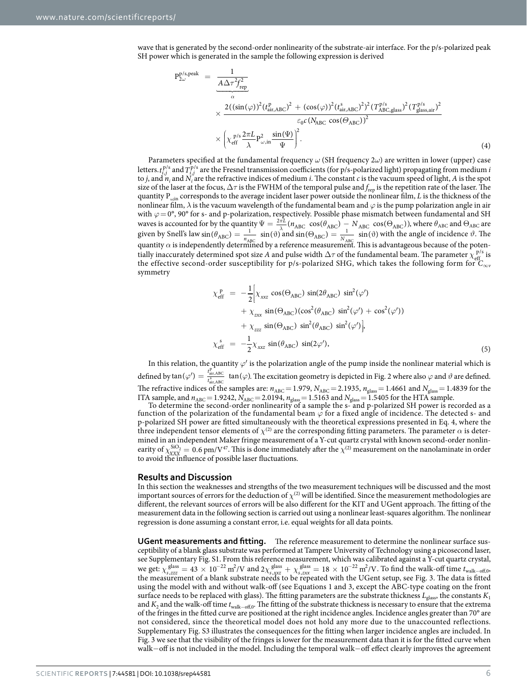wave that is generated by the second-order nonlinearity of the substrate-air interface. For the p/s-polarized peak SH power which is generated in the sample the following expression is derived

$$
P_{2\omega}^{p/s,peak} = \frac{1}{\frac{A\Delta\tau^2 f_{\rm rep}^2}{\alpha}} \times \frac{2((\sin(\varphi))^2 (t_{\rm air,ABC}^{\rm p/s})^2 + (\cos(\varphi))^2 (t_{\rm air,ABC}^{\rm s})^2)^2 (T_{\rm ABC,glass}^{\rm p/s})^2}{\frac{\varepsilon_0 c (N_{\rm ABC} \cos(\Theta_{\rm ABC}))^2}{\varepsilon_0^2}} \times \left(\chi_{\rm eff}^{\rm p/s} \frac{2\pi L}{\lambda} P_{\omega,\rm in}^2 \frac{\sin(\Psi)}{\Psi}\right)^2.
$$
\n(4)

Parameters specified at the fundamental frequency *ω* (SH frequency 2*ω*) are written in lower (upper) case letters.  $t_{j,j}^{p/s}$  and  $T_{j,j}^{p/s}$  are the Fresnel transmission coefficients (for p/s-polarized light) propagating from medium *i* to *j*, and  $n_i$  and  $N_i$  are the refractive indices of medium *i*. The constant *c* is the vacuum speed of light, *A* is the spot size of the laser at the focus,  $\Delta\tau$  is the FWHM of the temporal pulse and  $f_{\rm rep}$  is the repetition rate of the laser. The quantity P<sub>ωin</sub> corresponds to the average incident laser power outside the nonlinear film, *L* is the thickness of the nonlinear film, *λ* is the vacuum wavelength of the fundamental beam and *ϕ* is the pump polarization angle in air with *ϕ*= 0°, 90° for s- and p-polarization, respectively. Possible phase mismatch between fundamental and SH waves is accounted for by the quantity  $\Psi = \frac{2\pi L}{cA} (n_{ABC} \cos(\theta_{ABC}) - N_{ABC} \cos(\theta_{ABC}))$ , where  $\theta_{ABC}$  and  $\theta_{ABC}$  are given by Snell's law  $\sin(\theta_{ABC}) = \frac{1}{n_{ABC}} \sin(\theta)$  $\frac{1}{A B C}$  sin( $\theta$ ) and sin( $\Theta_{ABC}$ ) =  $\frac{1}{N_{ABC}}$  sin( $\theta$ )  $\frac{1}{ABC}$  sin( $\vartheta$ ) with the angle of incidence  $\vartheta$ . The quantity  $\alpha$  is independently determined by a reference measurement. This is advantageous because of the potentially inaccurately determined spot size *A* and pulse width  $\Delta \tau$  of the fundamental beam. The parameter  $\chi_{\text{eff}}^{\text{p/s}}$  is the effective second-order susceptibility for p/s-polarized SHG, which takes the following form for  $C_{\infty v}$ symmetry

$$
\chi_{\text{eff}}^{\text{p}} = -\frac{1}{2} \Big[ \chi_{\text{xxz}} \cos(\Theta_{\text{ABC}}) \sin(2\theta_{\text{ABC}}) \sin^2(\varphi') \n+ \chi_{\text{zxx}} \sin(\Theta_{\text{ABC}}) (\cos^2(\theta_{\text{ABC}}) \sin^2(\varphi') + \cos^2(\varphi')) \n+ \chi_{\text{zzz}} \sin(\Theta_{\text{ABC}}) \sin^2(\theta_{\text{ABC}}) \sin^2(\varphi') \Big],
$$
\n
$$
\chi_{\text{eff}}^s = -\frac{1}{2} \chi_{\text{xxz}} \sin(\theta_{\text{ABC}}) \sin(2\varphi'), \tag{5}
$$

In this relation, the quantity *ϕ*′ is the polarization angle of the pump inside the nonlinear material which is defined by  $\tan(\varphi') = \frac{t_{\text{air,ABC}}^{\text{p}}}{t_{\text{air,ABC}}^{\text{a}}} \tan(\varphi)$ . The excitation geometry is depicted in [Fig. 2](#page-3-0) where also  $\varphi$  and  $\vartheta$  are defined. The refractive indices of the samples are:  $n_{ABC}$  = 1.979,  $N_{ABC}$  = 2.1935,  $n_{glass}$  = 1.4661 and  $N_{glass}$  = 1.4839 for the ITA sample, and  $n_{ABC} = 1.9242$ ,  $N_{ABC} = 2.0194$ ,  $n_{glass} = 1.5163$  and  $N_{glass} = 1.5405$  for the HTA sample.

To determine the second-order nonlinearity of a sample the s- and p-polarized SH power is recorded as a function of the polarization of the fundamental beam  $\varphi$  for a fixed angle of incidence. The detected s- and p-polarized SH power are fitted simultaneously with the theoretical expressions presented in Eq. 4, where the three independent tensor elements of  $\chi^{(2)}$  are the corresponding fitting parameters. The parameter  $\alpha$  is determined in an independent Maker fringe measurement of a Y-cut quartz crystal with known second-order nonlinearity of  $\chi_{\text{XXX}}^{\text{SiO}_2} = 0.6 \text{ pm/V}^{47}$ . This is done immediately after the  $\chi^{(2)}$  measurement on the nanolaminate in order to avoid the influence of possible laser fluctuations.

#### **Results and Discussion**

In this section the weaknesses and strengths of the two measurement techniques will be discussed and the most important sources of errors for the deduction of  $\chi^{(2)}$  will be identified. Since the measurement methodologies are different, the relevant sources of errors will be also different for the KIT and UGent approach. The fitting of the measurement data in the following section is carried out using a nonlinear least-squares algorithm. The nonlinear regression is done assuming a constant error, i.e. equal weights for all data points.

**UGent measurements and fitting.** The reference measurement to determine the nonlinear surface susceptibility of a blank glass substrate was performed at Tampere University of Technology using a picosecond laser, see Supplementary Fig. S1. From this reference measurement, which was calibrated against a Y-cut quartz crystal, we get:  $\chi_{s,zzz}^{\text{glass}} = 43 \times 10^{-22} \text{ m}^2/\text{V}$  and  $2\chi_{s,xyz}^{\text{glass}} + \chi_{s,zxx}^{\text{glass}} = 18 \times 10^{-22} \text{ m}^2/\text{V}$ . To find the walk-off time  $t_{\text{walk-off}}$ the measurement of a blank substrate needs to be repeated with the UGent setup, see [Fig. 3.](#page-6-0) The data is fitted using the model with and without walk-off (see Equations 1 and 3, except the ABC-type coating on the front surface needs to be replaced with glass). The fitting parameters are the substrate thickness *L*glass, the constants *K*<sup>1</sup> and *K*2 and the walk-off time *t*walk<sup>−</sup>off,0. The fitting of the substrate thickness is necessary to ensure that the extrema of the fringes in the fitted curve are positioned at the right incidence angles. Incidence angles greater than 70° are not considered, since the theoretical model does not hold any more due to the unaccounted reflections. Supplementary Fig. S3 illustrates the consequences for the fitting when larger incidence angles are included. In [Fig. 3](#page-6-0) we see that the visibility of the fringes is lower for the measurement data than it is for the fitted curve when walk−off is not included in the model. Including the temporal walk−off effect clearly improves the agreement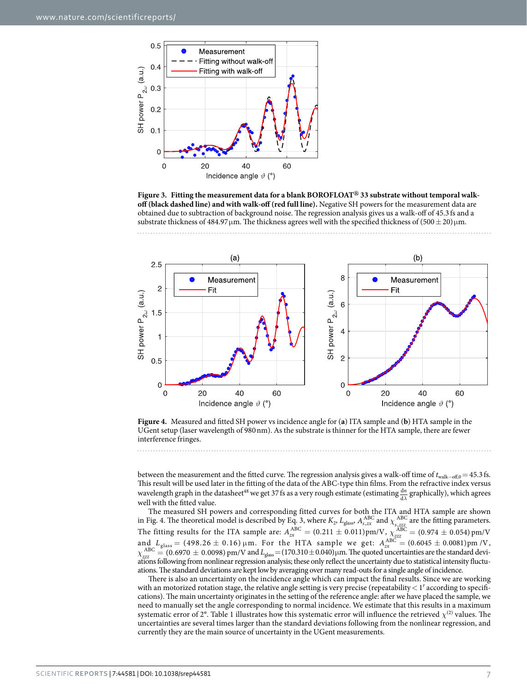

<span id="page-6-0"></span>**Figure 3. Fitting the measurement data for a blank BOROFLOAT® 33 substrate without temporal walkoff (black dashed line) and with walk-off (red full line).** Negative SH powers for the measurement data are obtained due to subtraction of background noise. The regression analysis gives us a walk-off of 45.3 fs and a substrate thickness of 484.97  $\mu$ m. The thickness agrees well with the specified thickness of (500  $\pm$  20) $\mu$ m.



<span id="page-6-1"></span>**Figure 4.** Measured and fitted SH power vs incidence angle for (**a**) ITA sample and (**b**) HTA sample in the UGent setup (laser wavelength of 980nm). As the substrate is thinner for the HTA sample, there are fewer interference fringes.

between the measurement and the fitted curve. The regression analysis gives a walk-off time of *t*walk−off,0=45.3 fs. This result will be used later in the fitting of the data of the ABC-type thin films. From the refractive index versus wavelength graph in the datasheet<sup>48</sup> we get 37 fs as a very rough estimate (estimating  $\frac{dn}{d\lambda}$  graphically), which agrees well with the fitted value.

The measured SH powers and corresponding fitted curves for both the ITA and HTA sample are shown in [Fig. 4.](#page-6-1) The theoretical model is described by Eq. 3, where  $K_2$ ,  $L_{\text{glass}}$ ,  $A_{s,zx}^{\text{ABC}}$  and  $\chi_{s,zzz}^{\text{ABC}}$  are the fitting parameters. The fitting results for the ITA sample are:  $A_{zx}^{ABC} = (0.211 \pm 0.011)$  pm/V,  $\chi_{zzz}^{ABC} = (0.974 \pm 0.054)$  pm/V and  $L_{\text{glass}} = (498.26 \pm 0.16) \,\mu \text{m}$ . For the HTA sample we get:  $A_{zx}^{\text{ABC}} = (0.6045 \pm 0.0081) \text{pm}$  /V,  $\chi_{zzzz}^{ABC} = (0.6970 \pm 0.0098)$  pm/V and  $L_{glass} = (170.310 \pm 0.040)$  μm. The quoted uncertainties are the standard deviations following from nonlinear regression analysis; these only reflect the uncertainty due to statistical intensity fluctuations. The standard deviations are kept low by averaging over many read-outs for a single angle of incidence.

There is also an uncertainty on the incidence angle which can impact the final results. Since we are working with an motorized rotation stage, the relative angle setting is very precise (repeatability  $\lt 1'$  according to specifications). The main uncertainty originates in the setting of the reference angle: after we have placed the sample, we need to manually set the angle corresponding to normal incidence. We estimate that this results in a maximum systematic error of 2°. [Table 1](#page-7-0) illustrates how this systematic error will influence the retrieved  $\chi^{(2)}$  values. The uncertainties are several times larger than the standard deviations following from the nonlinear regression, and currently they are the main source of uncertainty in the UGent measurements.

. . . . . . . . . . . . . . . . . .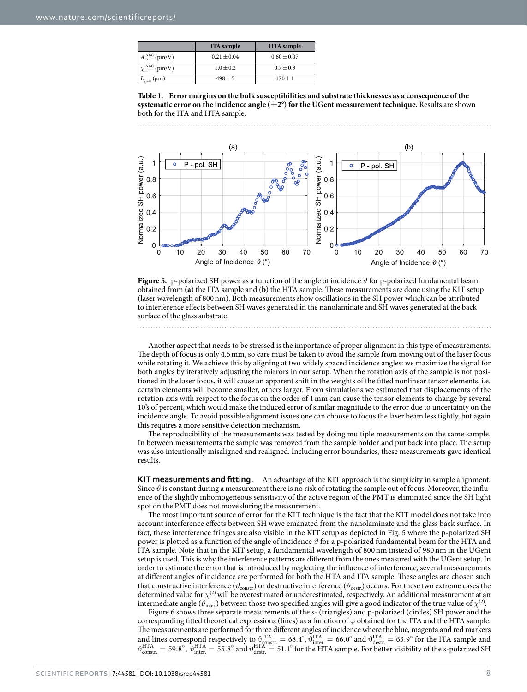<span id="page-7-0"></span>

|                            | <b>ITA</b> sample | <b>HTA</b> sample |
|----------------------------|-------------------|-------------------|
| $A_{\infty}^{ABC}$ (pm/V)  | $0.21 \pm 0.04$   | $0.60 \pm 0.07$   |
| $\chi_{zzz}^{ABC}$ (pm/V)  | $1.0 \pm 0.2$     | $0.7 \pm 0.3$     |
| $L_{\rm glass}$ ( $\mu$ m) | $498 \pm 5$       | $170 \pm 1$       |

**Table 1. Error margins on the bulk susceptibilities and substrate thicknesses as a consequence of the systematic error on the incidence angle**  $(\pm 2^{\circ})$  **for the UGent measurement technique. Results are shown** both for the ITA and HTA sample.

 $(b)$  $(a)$ Normalized SH power (a.u.) Normalized SH power (a.u.) f P - pol. SH P - pol. SH ċ  $0.8$  $0.8$  $0.6$  $0.6$  $0.4$  $0.4$  $0.2$  $0.2$  $\Omega$  $\sqrt{ }$ 20 30 40 50 60 70  $10$ 30 50 60 70  $\Omega$  $10$  $\Omega$  $20$  $40$ Angle of Incidence  $\vartheta$  (°) Angle of Incidence  $\vartheta$  (°)

<span id="page-7-1"></span>**Figure 5.** p-polarized SH power as a function of the angle of incidence *ϑ* for p-polarized fundamental beam obtained from (**a**) the ITA sample and (**b**) the HTA sample. These measurements are done using the KIT setup (laser wavelength of 800nm). Both measurements show oscillations in the SH power which can be attributed to interference effects between SH waves generated in the nanolaminate and SH waves generated at the back surface of the glass substrate.

Another aspect that needs to be stressed is the importance of proper alignment in this type of measurements. The depth of focus is only 4.5mm, so care must be taken to avoid the sample from moving out of the laser focus while rotating it. We achieve this by aligning at two widely spaced incidence angles: we maximize the signal for both angles by iteratively adjusting the mirrors in our setup. When the rotation axis of the sample is not positioned in the laser focus, it will cause an apparent shift in the weights of the fitted nonlinear tensor elements, i.e. certain elements will become smaller, others larger. From simulations we estimated that displacements of the rotation axis with respect to the focus on the order of 1 mm can cause the tensor elements to change by several 10's of percent, which would make the induced error of similar magnitude to the error due to uncertainty on the incidence angle. To avoid possible alignment issues one can choose to focus the laser beam less tightly, but again this requires a more sensitive detection mechanism.

The reproducibility of the measurements was tested by doing multiple measurements on the same sample. In between measurements the sample was removed from the sample holder and put back into place. The setup was also intentionally misaligned and realigned. Including error boundaries, these measurements gave identical results.

**KIT measurements and fitting.** An advantage of the KIT approach is the simplicity in sample alignment. Since  $\vartheta$  is constant during a measurement there is no risk of rotating the sample out of focus. Moreover, the influence of the slightly inhomogeneous sensitivity of the active region of the PMT is eliminated since the SH light spot on the PMT does not move during the measurement.

The most important source of error for the KIT technique is the fact that the KIT model does not take into account interference effects between SH wave emanated from the nanolaminate and the glass back surface. In fact, these interference fringes are also visible in the KIT setup as depicted in [Fig. 5](#page-7-1) where the p-polarized SH power is plotted as a function of the angle of incidence *ϑ* for a p-polarized fundamental beam for the HTA and ITA sample. Note that in the KIT setup, a fundamental wavelength of 800 nm instead of 980 nm in the UGent setup is used. This is why the interference patterns are different from the ones measured with the UGent setup. In order to estimate the error that is introduced by neglecting the influence of interference, several measurements at different angles of incidence are performed for both the HTA and ITA sample. These angles are chosen such that constructive interference ( $\vartheta_{\rm const.}$ ) or destructive interference ( $\vartheta_{\rm dest.}$ ) occurs. For these two extreme cases the determined value for  $\chi^{(2)}$  will be overestimated or underestimated, respectively. An additional measurement at an intermediate angle ( $\vartheta_{\text{inter}}$ ) between those two specified angles will give a good indicator of the true value of  $\chi^{(2)}$ .

[Figure 6](#page-8-0) shows three separate measurements of the s- (triangles) and p-polarized (circles) SH power and the corresponding fitted theoretical expressions (lines) as a function of *ϕ* obtained for the ITA and the HTA sample. The measurements are performed for three different angles of incidence where the blue, magenta and red markers and lines correspond respectively to  $\vartheta_{\text{onstr.}}^{\text{ITA}} = 68.4^{\circ}$ ,  $\vartheta_{\text{inter.}}^{\text{ITA}} = 66.0^{\circ}$  and  $\vartheta_{\text{destr.}}^{\text{ITA}} = 63.9^{\circ}$  for the ITA sample and  $\vartheta_{\text{constr.}}^{\text{HTA}} = 59.8^{\circ}$ ,  $\vartheta_{\text{inter.}}^{\text{HTA}} = 55.8^{\circ}$  and  $\vartheta_{\text{destr.}}^{\text{HTA}} = 51.1^{\circ}$  for the HTA sample. For better visibility of the s-polarized SH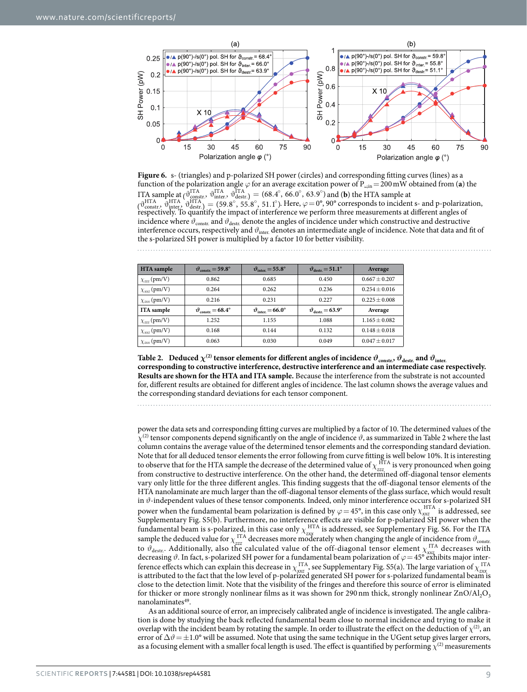

<span id="page-8-0"></span>**Figure 6.** s- (triangles) and p-polarized SH power (circles) and corresponding fitting curves (lines) as a function of the polarization angle  $\varphi$  for an average excitation power of P<sub>ωin</sub> = 200 mW obtained from (**a**) the ITA sample at  $\left( \begin{array}{c} \mathbf{d}^{\text{ITA}} \\ \mathbf{d}^{\text{onstr.}} \end{array} \right)$ ,  $\mathbf{d}^{\text{ITA}}_{\text{inter.}}$ ,  $\mathbf{d}^{\text{ITA}}_{\text{destr.}}$ ) = (68.4°, 66.0°, 63.9°) and (**b**) the HTA sample at  $\left( \vartheta_{\text{const}}^{\text{HTA}}, \vartheta_{\text{dest}}^{\text{HTA}} \right) = (59.8^{\circ}, 55.8^{\circ}, 51.1^{\circ})$ . Here,  $\varphi = 0^{\circ}, 90^{\circ}$  corresponds to incident s- and p-polarization, respectively. To quantify the impact of interference we perform three measurements at different angles of incidence where  $\vartheta_{\text{const.}}$  and  $\vartheta_{\text{dest.}}$  denote the angles of incidence under which constructive and destructive interference occurs, respectively and  $\vartheta_{\text{inter}}$  denotes an intermediate angle of incidence. Note that data and fit of the s-polarized SH power is multiplied by a factor 10 for better visibility.

<span id="page-8-1"></span>

| <b>HTA</b> sample   | $v_{\text{constr.}} = 59.8^{\circ}$      | $v_{\text{inter}} = 55.8^{\circ}$         | $\vartheta_{\text{destr}} = 51.1^{\circ}$ | Average           |
|---------------------|------------------------------------------|-------------------------------------------|-------------------------------------------|-------------------|
| $\chi_{zzz}$ (pm/V) | 0.862                                    | 0.685                                     | 0.450                                     | $0.667 + 0.207$   |
| $\chi_{xxz}$ (pm/V) | 0.264                                    | 0.262                                     | 0.236                                     | $0.254 + 0.016$   |
| $\chi_{zxx}$ (pm/V) | 0.216                                    | 0.231                                     | 0.227                                     | $0.225 + 0.008$   |
| ITA sample          | $\vartheta_{\rm constr.} = 68.4^{\circ}$ | $\vartheta_{\text{inter}} = 66.0^{\circ}$ | $\vartheta_{\text{destr}} = 63.9^{\circ}$ | Average           |
| $\chi_{zzz}$ (pm/V) | 1.252                                    | 1.155                                     | 1.088                                     | $1.165 + 0.082$   |
| $\chi_{xxz}$ (pm/V) | 0.168                                    | 0.144                                     | 0.132                                     | $0.148 + 0.018$   |
| $\chi_{zxx}$ (pm/V) | 0.063                                    | 0.030                                     | 0.049                                     | $0.047 \pm 0.017$ |

**Table 2.** Deduced  $\chi^{(2)}$  tensor elements for different angles of incidence  $\vartheta_{\text{constr.}}$   $\vartheta_{\text{destr.}}$  and  $\vartheta_{\text{inter.}}$ **corresponding to constructive interference, destructive interference and an intermediate case respectively. Results are shown for the HTA and ITA sample.** Because the interference from the substrate is not accounted for, different results are obtained for different angles of incidence. The last column shows the average values and the corresponding standard deviations for each tensor component.

power the data sets and corresponding fitting curves are multiplied by a factor of 10. The determined values of the *χ*(2) tensor components depend significantly on the angle of incidence *ϑ*, as summarized in [Table 2](#page-8-1) where the last column contains the average value of the determined tensor elements and the corresponding standard deviation. Note that for all deduced tensor elements the error following from curve fitting is well below 10%. It is interesting to observe that for the HTA sample the decrease of the determined value of  $\chi_{zzz}^{\text{HTA}}$  is very pronounced when going from constructive to destructive interference. On the other hand, the determined off-diagonal tensor elements vary only little for the three different angles. This finding suggests that the off-diagonal tensor elements of the HTA nanolaminate are much larger than the off-diagonal tensor elements of the glass surface, which would result in *ϑ*-independent values of these tensor components. Indeed, only minor interference occurs for s-polarized SH power when the fundamental beam polarization is defined by  $\varphi = 45^\circ$ , in this case only  $\chi_{xx}^{\text{HTA}}$  is addressed, see Supplementary Fig. S5(b). Furthermore, no interference effects are visible for p-polarized SH power when the fundamental beam is s-polarized, in this case only  $\chi_{zx}^{\text{HTA}}$  is addressed, see Supplementary Fig. S6. For the ITA sample the deduced value for  $\chi_{zzz}^{\text{ITA}}$  decreases more moderately when changing the angle of incidence from  $\vartheta_{\text{constr}}$ to  $\vartheta_{\text{destr}}$ . Additionally, also the calculated value of the off-diagonal tensor element  $\chi_{\text{axz}}^{\text{ITA}}$  decreases with decreasing  $\vartheta$ . In fact, s-polarized SH power for a fundamental beam polarization of  $\varphi = 45^\circ$  exhibits major interference effects which can explain this decrease in  $\chi_{xxz}^{\text{ITA}}$ , see Supplementary Fig. S5(a). The large variation of  $\chi_{zxx}^{\text{ITA}}$ is attributed to the fact that the low level of p-polarized generated SH power for s-polarized fundamental beam is close to the detection limit. Note that the visibility of the fringes and therefore this source of error is eliminated for thicker or more strongly nonlinear films as it was shown for 290 nm thick, strongly nonlinear  $ZnO/Al<sub>2</sub>O<sub>3</sub>$ nanolaminates<sup>49</sup>.

As an additional source of error, an imprecisely calibrated angle of incidence is investigated. The angle calibration is done by studying the back reflected fundamental beam close to normal incidence and trying to make it overlap with the incident beam by rotating the sample. In order to illustrate the effect on the deduction of  $\chi^{(2)}$ , an error of  $\Delta\vartheta = \pm 1.0^{\circ}$  will be assumed. Note that using the same technique in the UGent setup gives larger errors, as a focusing element with a smaller focal length is used. The effect is quantified by performing  $\chi^{(2)}$  measurements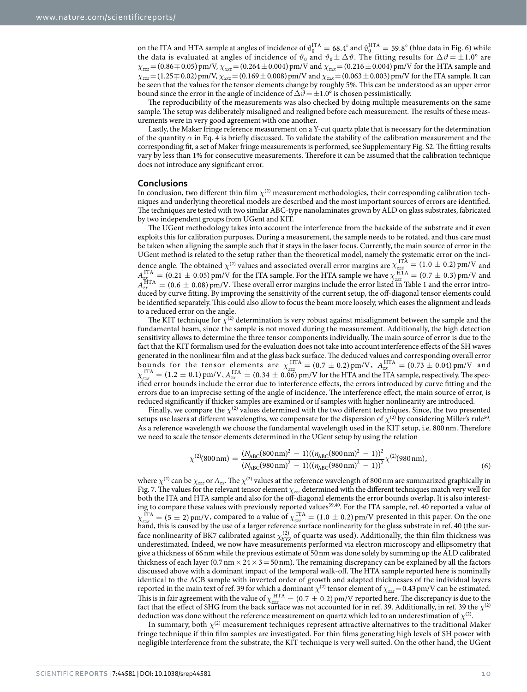on the ITA and HTA sample at angles of incidence of  $\vartheta_0^{\text{ITA}} = 68.4^\circ$  and  $\vartheta_0^{\text{HTA}} = 59.8^\circ$  (blue data in [Fig. 6\)](#page-8-0) while the data is evaluated at angles of incidence of  $\vartheta_0$  and  $\vartheta_0 \pm \Delta \vartheta$ . The fitting results for  $\Delta \vartheta = \pm 1.0^{\circ}$  are *χ*<sub>*zzz*</sub> = (0.86 ∓ 0.05) pm/V, *χ*<sub>*xxz*</sub> = (0.264 ± 0.004) pm/V and *χ*<sub>*zxx*</sub> = (0.216 ± 0.004) pm/V for the HTA sample and *χzzz*=(1.250.02)pm/V, *χxxz*=(0.169±0.008)pm/V and *χzxx*=(0.063±0.003)pm/V for the ITA sample. It can be seen that the values for the tensor elements change by roughly 5%. This can be understood as an upper error bound since the error in the angle of incidence of  $\Delta \vartheta = \pm 1.0^{\circ}$  is chosen pessimistically.

The reproducibility of the measurements was also checked by doing multiple measurements on the same sample. The setup was deliberately misaligned and realigned before each measurement. The results of these measurements were in very good agreement with one another.

Lastly, the Maker fringe reference measurement on a Y-cut quartz plate that is necessary for the determination of the quantity  $\alpha$  in Eq. 4 is briefly discussed. To validate the stability of the calibration measurement and the corresponding fit, a set of Maker fringe measurements is performed, see Supplementary Fig. S2. The fitting results vary by less than 1% for consecutive measurements. Therefore it can be assumed that the calibration technique does not introduce any significant error.

#### **Conclusions**

In conclusion, two different thin film  $\chi^{(2)}$  measurement methodologies, their corresponding calibration techniques and underlying theoretical models are described and the most important sources of errors are identified. The techniques are tested with two similar ABC-type nanolaminates grown by ALD on glass substrates, fabricated by two independent groups from UGent and KIT.

The UGent methodology takes into account the interference from the backside of the substrate and it even exploits this for calibration purposes. During a measurement, the sample needs to be rotated, and thus care must be taken when aligning the sample such that it stays in the laser focus. Currently, the main source of error in the UGent method is related to the setup rather than the theoretical model, namely the systematic error on the incidence angle. The obtained  $\chi^{(2)}$  values and associated overall error margins are  $\chi^{1TA}_{zzzz} = (1.0 \pm 0.2)$  pm/V and  $A_{\text{ZZZ}}^{\text{ITA}} = (0.21 \pm 0.05) \text{ pm/V}$  for the ITA sample. For the HTA sample we have  $\chi_{\text{ZZZ}}^{\text{HTA}} = (0.7 \pm 0.3) \text{ pm/V}$  and  $A_{zx}^{\text{HTA}} = (0.6 \pm 0.08) \text{ pm/V}$ . These overall error margins include the error listed in [Table 1](#page-7-0) and the error introduced by curve fitting. By improving the sensitivity of the current setup, the off-diagonal tensor elements could be identified separately. This could also allow to focus the beam more loosely, which eases the alignment and leads to a reduced error on the angle.

The KIT technique for  $\chi^{(2)}$  determination is very robust against misalignment between the sample and the fundamental beam, since the sample is not moved during the measurement. Additionally, the high detection sensitivity allows to determine the three tensor components individually. The main source of error is due to the fact that the KIT formalism used for the evaluation does not take into account interference effects of the SH waves generated in the nonlinear film and at the glass back surface. The deduced values and corresponding overall error bounds for the tensor elements are  $\chi_{zzz}^{HTA} = (0.7 \pm 0.2)$  pm/V,  $A_{zx}^{HTA} = (0.73 \pm 0.04)$  pm/V and  $\chi_{zzz}^{\text{ITA}} = (1.2 \pm 0.1) \text{ pm/V}$ ,  $A_{zx}^{\text{ITA}} = (0.34 \pm 0.06) \text{ pm/V}$  for the HTA and the ITA sample, respectively. The specified error bounds include the error due to interference effects, the errors introduced by curve fitting and the errors due to an imprecise setting of the angle of incidence. The interference effect, the main source of error, is reduced significantly if thicker samples are examined or if samples with higher nonlinearity are introduced.

Finally, we compare the  $\chi$ <sup>(2)</sup> values determined with the two different techniques. Since, the two presented setups use lasers at different wavelengths, we compensate for the dispersion of  $\chi^{(2)}$  by considering Miller's rule<sup>50</sup>. As a reference wavelength we choose the fundamental wavelength used in the KIT setup, i.e. 800nm. Therefore we need to scale the tensor elements determined in the UGent setup by using the relation

$$
\chi^{(2)}(800\,\text{nm}) = \frac{(N_{\text{ABC}}(800\,\text{nm})^2 - 1)((n_{\text{ABC}}(800\,\text{nm})^2 - 1))^2}{(N_{\text{ABC}}(980\,\text{nm})^2 - 1)((n_{\text{ABC}}(980\,\text{nm})^2 - 1))^2} \chi^{(2)}(980\,\text{nm}),\tag{6}
$$

where  $\chi^{(2)}$  can be  $\chi_{zzz}$  or  $A_{zx}$ . The  $\chi^{(2)}$  values at the reference wavelength of 800 nm are summarized graphically in [Fig. 7.](#page-10-9) The values for the relevant tensor element *χzzz* determined with the different techniques match very well for both the ITA and HTA sample and also for the off-diagonal elements the error bounds overlap. It is also interest-ing to compare these values with previously reported values<sup>39[,40](#page-11-19)</sup>. For the ITA sample, ref. [40](#page-11-19) reported a value of  $\chi_{zzz}^{ITA} = (5 \pm 2)$  pm/V, compared to a value of  $\chi_{zzz}^{ITA} = (1.0 \pm 0.2)$  pm/V presented in this paper. On the one hand, this is caused by the use of a larger reference surface nonlinearity for the glass substrate in ref. [40](#page-11-19) (the surface nonlinearity of BK7 calibrated against  $\chi^{(2)}_{XYZ}$  of quartz was used). Additionally, the thin film thickness was underestimated. Indeed, we now have measurements performed via electron microscopy and ellipsometry that give a thickness of 66nm while the previous estimate of 50nm was done solely by summing up the ALD calibrated thickness of each layer (0.7 nm  $\times$  24  $\times$  3 = 50 nm). The remaining discrepancy can be explained by all the factors discussed above with a dominant impact of the temporal walk-off. The HTA sample reported here is nominally identical to the ACB sample with inverted order of growth and adapted thicknesses of the individual layers reported in the main text of ref. [39](#page-11-18) for which a dominant  $\chi^{(2)}$  tensor element of  $\chi_{zzz}$  = 0.43 pm/V can be estimated. This is in fair agreement with the value of  $\chi_{zzz}^{\text{HTA}} = (0.7 \pm 0.2)$  pm/V reported here. The discrepancy is due to the fact that the effect of SHG from the back surface was not accounted for in ref. [39](#page-11-18). Additionally, in ref. [39](#page-11-18) the  $\chi^{(2)}$ deduction was done without the reference measurement on quartz which led to an underestimation of  $\chi^{(2)}$ .

In summary, both  $\chi^{(2)}$  measurement techniques represent attractive alternatives to the traditional Maker fringe technique if thin film samples are investigated. For thin films generating high levels of SH power with negligible interference from the substrate, the KIT technique is very well suited. On the other hand, the UGent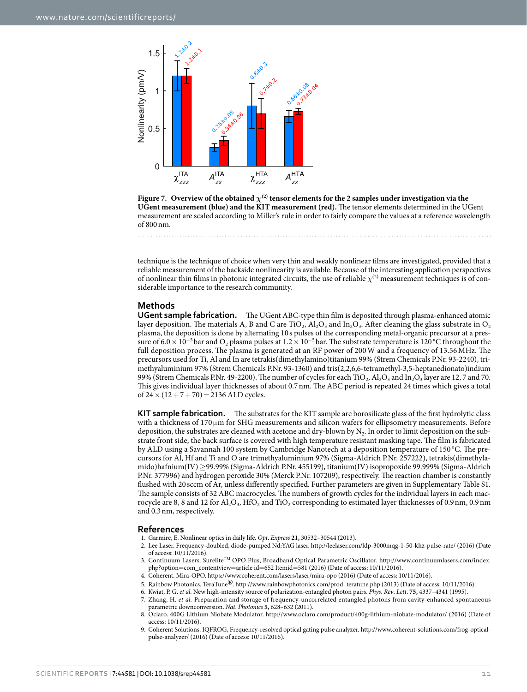

<span id="page-10-9"></span>**Figure 7.** Overview of the obtained  $\chi^{(2)}$  tensor elements for the 2 samples under investigation via the **UGent measurement (blue) and the KIT measurement (red).** The tensor elements determined in the UGent measurement are scaled according to Miller's rule in order to fairly compare the values at a reference wavelength of 800nm.

technique is the technique of choice when very thin and weakly nonlinear films are investigated, provided that a reliable measurement of the backside nonlinearity is available. Because of the interesting application perspectives of nonlinear thin films in photonic integrated circuits, the use of reliable  $\chi^{(2)}$  measurement techniques is of considerable importance to the research community.

#### **Methods**

**UGent sample fabrication.** The UGent ABC-type thin film is deposited through plasma-enhanced atomic layer deposition. The materials A, B and C are TiO<sub>2</sub>,  $Al_2O_3$  and In<sub>2</sub>O<sub>3</sub>. After cleaning the glass substrate in O<sub>2</sub> plasma, the deposition is done by alternating 10 s pulses of the corresponding metal-organic precursor at a pressure of 6.0 × 10<sup>-5</sup>bar and O<sub>2</sub> plasma pulses at 1.2 × 10<sup>-5</sup>bar. The substrate temperature is 120 °C throughout the full deposition process. The plasma is generated at an RF power of 200W and a frequency of 13.56MHz. The precursors used for Ti, Al and In are tetrakis(dimethylamino)titanium 99% (Strem Chemicals P.Nr. 93-2240), trimethyaluminium 97% (Strem Chemicals P.Nr. 93-1360) and tris(2,2,6,6-tetramethyl-3,5-heptanedionato)indium 99% (Strem Chemicals P.Nr. 49-2200). The number of cycles for each TiO<sub>2</sub>, Al<sub>2</sub>O<sub>3</sub> and In<sub>2</sub>O<sub>3</sub> layer are 12, 7 and 70. This gives individual layer thicknesses of about 0.7nm. The ABC period is repeated 24 times which gives a total of  $24 \times (12 + 7 + 70) = 2136$  ALD cycles.

**KIT sample fabrication.** The substrates for the KIT sample are borosilicate glass of the first hydrolytic class with a thickness of 170 μm for SHG measurements and silicon wafers for ellipsometry measurements. Before deposition, the substrates are cleaned with acetone and dry-blown by  $N_2$ . In order to limit deposition on the substrate front side, the back surface is covered with high temperature resistant masking tape. The film is fabricated by ALD using a Savannah 100 system by Cambridge Nanotech at a deposition temperature of 150 °C. The precursors for Al, Hf and Ti and O are trimethyaluminium 97% (Sigma-Aldrich P.Nr. 257222), tetrakis(dimethylamido)hafnium(IV) ≥99.99% (Sigma-Aldrich P.Nr. 455199), titanium(IV) isopropoxide 99.999% (Sigma-Aldrich P.Nr. 377996) and hydrogen peroxide 30% (Merck P.Nr. 107209), respectively. The reaction chamber is constantly flushed with 20 sccm of Ar, unless differently specified. Further parameters are given in Supplementary Table S1. The sample consists of 32 ABC macrocycles. The numbers of growth cycles for the individual layers in each macrocycle are 8, 8 and 12 for Al<sub>2</sub>O<sub>3</sub>, HfO<sub>2</sub> and TiO<sub>2</sub> corresponding to estimated layer thicknesses of 0.9 nm, 0.9 nm and 0.3nm, respectively.

#### **References**

- <span id="page-10-1"></span><span id="page-10-0"></span>1. Garmire, E. Nonlinear optics in daily life. *Opt*. *Express* **21,** 30532–30544 (2013).
- 2. Lee Laser. Frequency-doubled, diode-pumped Nd:YAG laser. <http://leelaser.com/ldp-3000mqg-1-50-khz-pulse-rate/>(2016) (Date of access: 10/11/2016).
- <span id="page-10-2"></span>3. Continuum Lasers. SureliteTM OPO Plus, Broadband Optical Parametric Oscillator. [http://www.continuumlasers.com/index.](http://www.continuumlasers.com/index.php?option=com_contentview=article id=652 Itemid=581) php?option=[com\\_contentview](http://www.continuumlasers.com/index.php?option=com_contentview=article id=652 Itemid=581)=article id=652 Itemid=581 (2016) (Date of access: 10/11/2016).
- <span id="page-10-3"></span>4. Coherent. Mira-OPO. <https://www.coherent.com/lasers/laser/mira-opo>(2016) (Date of access: 10/11/2016).
- <span id="page-10-5"></span><span id="page-10-4"></span>5. Rainbow Photonics. TeraTune**®**. [http://www.rainbowphotonics.com/prod\\_teratune.php](http://www.rainbowphotonics.com/prod_teratune.php) (2013) (Date of access: 10/11/2016).
- 6. Kwiat, P. G. *et al.* New high-intensity source of polarization-entangled photon pairs. *Phys*. *Rev*. *Lett*. **75,** 4337–4341 (1995).
- <span id="page-10-6"></span>7. Zhang, H. *et al.* Preparation and storage of frequency-uncorrelated entangled photons from cavity-enhanced spontaneous parametric downconversion. *Nat*. *Photonics* **5,** 628–632 (2011).
- <span id="page-10-7"></span>8. Oclaro. 400G Lithium Niobate Modulator.<http://www.oclaro.com/product/400g-lithium-niobate-modulator/> (2016) (Date of access: 10/11/2016).
- <span id="page-10-8"></span>9. Coherent Solutions. IQFROG, Frequency-resolved optical gating pulse analyzer. [http://www.coherent-solutions.com/frog-optical](http://www.coherent-solutions.com/frog-optical-pulse-analyzer/)[pulse-analyzer/](http://www.coherent-solutions.com/frog-optical-pulse-analyzer/) (2016) (Date of access: 10/11/2016).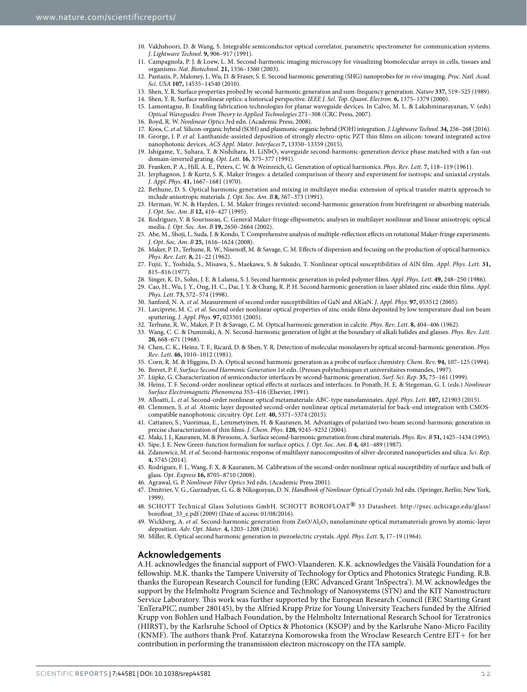- <span id="page-11-0"></span>10. Vakhshoori, D. & Wang, S. Integrable semiconductor optical correlator, parametric spectrometer for communication systems. *J*. *Lightwave Technol*. **9,** 906–917 (1991).
- <span id="page-11-1"></span>11. Campagnola, P. J. & Loew, L. M. Second-harmonic imaging microscopy for visualizing biomolecular arrays in cells, tissues and organisms. *Nat*. *Biotechnol*. **21,** 1356–1360 (2003).
- <span id="page-11-2"></span>12. Pantazis, P., Maloney, J., Wu, D. & Fraser, S. E. Second harmonic generating (SHG) nanoprobes for *in vivo* imaging. *Proc*. *Natl*. *Acad*. *Sci*. *USA* **107,** 14535–14540 (2010).
- <span id="page-11-3"></span>13. Shen, Y. R. Surface properties probed by second-harmonic generation and sum-frequency generation. *Nature* **337,** 519–525 (1989).
- <span id="page-11-5"></span><span id="page-11-4"></span>14. Shen, Y. R. Surface nonlinear optics: a historical perspective. *IEEE J*. *Sel*. *Top*. *Quant*. *Electron*. **6,** 1375–1379 (2000).
- 15. Lamontagne, B. Enabling fabrication technologies for planar waveguide devices. In Calvo, M. L. & Lakshminarayanan, V. (eds) *Optical Waveguides: From Theory to Applied Technologies* 271–308 (CRC Press, 2007).
- <span id="page-11-7"></span><span id="page-11-6"></span>16. Boyd, R. W. *Nonlinear Optics* 3rd edn. (Academic Press, 2008).
- 17. Koos, C. *et al.* Silicon-organic hybrid (SOH) and plasmonic-organic hybrid (POH) integration. *J*. *Lightwave Technol*. **34,** 256–268 (2016).
- <span id="page-11-8"></span>18. George, J. P. *et al.* Lanthanide-assisted deposition of strongly electro-optic PZT thin films on silicon: toward integrated active nanophotonic devices. *ACS Appl*. *Mater*. *Interfaces* **7,** 13350–13359 (2015).
- <span id="page-11-9"></span>19. Ishigame, Y., Suhara, T. & Nishihara, H. LiNbO<sub>3</sub> waveguide second-harmonic-generation device phase matched with a fan-out domain-inverted grating. *Opt*. *Lett*. **16,** 375–377 (1991).
- <span id="page-11-10"></span>20. Franken, P. A., Hill, A. E., Peters, C. W. & Weinreich, G. Generation of optical harmonics. *Phys*. *Rev*. *Lett*. **7,** 118–119 (1961).
- <span id="page-11-11"></span>21. Jerphagnon, J. & Kurtz, S. K. Maker fringes: a detailed comparison of theory and experiment for isotropic and uniaxial crystals. *J*. *Appl*. *Phys*. **41,** 1667–1681 (1970).
- <span id="page-11-12"></span>22. Bethune, D. S. Optical harmonic generation and mixing in multilayer media: extension of optical transfer matrix approach to include anisotropic materials. *J*. *Opt*. *Soc*. *Am*. *B* **8,** 367–373 (1991).
- <span id="page-11-28"></span>23. Herman, W. N. & Hayden, L. M. Maker fringes revisited: second-harmonic generation from birefringent or absorbing materials. *J*. *Opt*. *Soc*. *Am*. *B* **12,** 416–427 (1995).
- 24. Rodriguez, V. & Sourisseau, C. General Maker-fringe ellipsometric analyses in multilayer nonlinear and linear anisotropic optical media. *J*. *Opt*. *Soc*. *Am*. *B* **19,** 2650–2664 (2002).
- 25. Abe, M., Shoji, I., Suda, J. & Kondo, T. Comprehensive analysis of multiple-reflection effects on rotational Maker-fringe experiments. *J*. *Opt*. *Soc*. *Am*. *B* **25,** 1616–1624 (2008).
- <span id="page-11-13"></span>26. Maker, P. D., Terhune, R. W., Nisenoff, M. & Savage, C. M. Effects of dispersion and focusing on the production of optical harmonics. *Phys*. *Rev*. *Lett*. **8,** 21–22 (1962).
- <span id="page-11-14"></span>27. Fujii, Y., Yoshida, S., Misawa, S., Maekawa, S. & Sakudo, T. Nonlinear optical susceptibilities of AlN film. *Appl*. *Phys*. *Lett*. **31,** 815–816 (1977).
- 28. Singer, K. D., Sohn, J. E. & Lalama, S. J. Second harmonic generation in poled polymer films. *Appl*. *Phys*. *Lett*. **49,** 248–250 (1986).
- <span id="page-11-22"></span>29. Cao, H., Wu, J. Y., Ong, H. C., Dai, J. Y. & Chang, R. P. H. Second harmonic generation in laser ablated zinc oxide thin films. *Appl*. *Phys*. *Lett*. **73,** 572–574 (1998).
- 30. Sanford, N. A. *et al.* Measurement of second order susceptibilities of GaN and AlGaN. *J*. *Appl*. *Phys*. **97,** 053512 (2005).
- 31. Larciprete, M. C. *et al.* Second order nonlinear optical properties of zinc oxide films deposited by low temperature dual ion beam sputtering. *J*. *Appl*. *Phys*. **97,** 023501 (2005).
- 32. Terhune, R. W., Maker, P. D. & Savage, C. M. Optical harmonic generation in calcite. *Phys*. *Rev*. *Lett*. **8,** 404–406 (1962).
- <span id="page-11-16"></span><span id="page-11-15"></span>33. Wang, C. C. & Duminski, A. N. Second-harmonic generation of light at the boundary of alkali halides and glasses. *Phys*. *Rev*. *Lett*. **20,** 668–671 (1968).
- 34. Chen, C. K., Heinz, T. F., Ricard, D. & Shen, Y. R. Detection of molecular monolayers by optical second-harmonic generation. *Phys*. *Rev*. *Lett*. **46,** 1010–1012 (1981).
- 35. Corn, R. M. & Higgins, D. A. Optical second harmonic generation as a probe of surface chemistry. *Chem*. *Rev*. **94,** 107–125 (1994).
- <span id="page-11-21"></span>36. Brevet, P. F. *Surface Second Harmonic Generation* 1st edn. (Presses polytechniques et universitaires romandes, 1997).
- 37. Lüpke, G. Characterization of semiconductor interfaces by second-harmonic generation. *Surf*. *Sci*. *Rep*. **35,** 75–161 (1999).
- <span id="page-11-17"></span>38. Heinz, T. F. Second-order nonlinear optical effects at surfaces and interfaces. In Ponath, H. E. & Stegeman, G. I. (eds.) *Nonlinear Surface Electromagnetic Phenomena* 353–416 (Elsevier, 1991).
- <span id="page-11-18"></span>39. Alloatti, L. *et al.* Second-order nonlinear optical metamaterials: ABC-type nanolaminates. *Appl*. *Phys*. *Lett*. **107,** 121903 (2015).
- <span id="page-11-19"></span>40. Clemmen, S. *et al.* Atomic layer deposited second-order nonlinear optical metamaterial for back-end integration with CMOScompatible nanophotonic circuitry. *Opt*. *Lett*. **40,** 5371–5374 (2015).
- <span id="page-11-20"></span>41. Cattaneo, S., Vuorimaa, E., Lemmetyinen, H. & Kauranen, M. Advantages of polarized two-beam second-harmonic generation in precise characterization of thin films. *J*. *Chem*. *Phys*. **120,** 9245–9252 (2004).
- <span id="page-11-23"></span>42. Maki, J. J., Kauranen, M. & Persoons, A. Surface second-harmonic generation from chiral materials. *Phys*. *Rev*. *B* **51,** 1425–1434 (1995).
- <span id="page-11-24"></span>43. Sipe, J. E. New Green-function formalism for surface optics. *J*. *Opt*. *Soc*. *Am*. *B* **4,** 481–489 (1987). 44. Zdanowicz, M. *et al.* Second-harmonic response of multilayer nanocomposites of silver-decorated nanoparticles and silica. *Sci*. *Rep*.
- <span id="page-11-26"></span><span id="page-11-25"></span>**4,** 5745 (2014).
- 45. Rodriguez, F. J., Wang, F. X. & Kauranen, M. Calibration of the second-order nonlinear optical susceptibility of surface and bulk of glass. *Opt*. *Express* **16,** 8705–8710 (2008).
- <span id="page-11-27"></span>46. Agrawal, G. P. *Nonlinear Fiber Optics* 3rd edn. (Academic Press 2001).
- <span id="page-11-29"></span>47. Dmitriev, V. G., Gurzadyan, G. G. & Nikogosyan, D. N. *Handbook of Nonlinear Optical Crystals* 3rd edn. (Springer, Berlin; New York, 1999).
- <span id="page-11-30"></span>48. SCHOTT Technical Glass Solutions GmbH. SCHOTT BOROFLOAT**®** 33 Datasheet. [http://psec.uchicago.edu/glass/](http://psec.uchicago.edu/glass/borofloat_33_e.pdf) [borofloat\\_33\\_e.pdf](http://psec.uchicago.edu/glass/borofloat_33_e.pdf) (2009) (Date of access: 01/08/2016).
- <span id="page-11-31"></span>Wickberg, A. *et al.* Second-harmonic generation from ZnO/Al<sub>2</sub>O<sub>3</sub> nanolaminate optical metamaterials grown by atomic-layer deposition. *Adv*. *Opt*. *Mater*. **4,** 1203–1208 (2016).
- <span id="page-11-32"></span>50. Miller, R. Optical second harmonic generation in piezoelectric crystals. *Appl*. *Phys*. *Lett*. **5,** 17–19 (1964).

#### **Acknowledgements**

A.H. acknowledges the financial support of FWO-Vlaanderen. K.K. acknowledges the Väisälä Foundation for a fellowship. M.K. thanks the Tampere University of Technology for Optics and Photonics Strategic Funding. R.B. thanks the European Research Council for funding (ERC Advanced Grant 'InSpectra'). M.W. acknowledges the support by the Helmholtz Program Science and Technology of Nanosystems (STN) and the KIT Nanostructure Service Laboratory. This work was further supported by the European Research Council (ERC Starting Grant 'EnTeraPIC', number 280145), by the Alfried Krupp Prize for Young University Teachers funded by the Alfried Krupp von Bohlen und Halbach Foundation, by the Helmholtz International Research School for Teratronics (HIRST), by the Karlsruhe School of Optics & Photonics (KSOP) and by the Karlsruhe Nano-Micro Facility (KNMF). The authors thank Prof. Katarzyna Komorowska from the Wroclaw Research Centre EIT+ for her contribution in performing the transmission electron microscopy on the ITA sample.